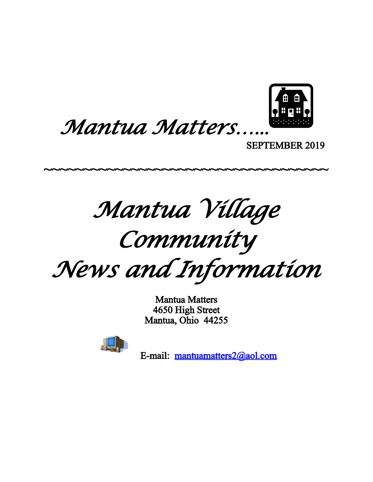

*Mantua Matters*…...

SEPTEMBER 2019

*Mantua Village*

~~~~~~~~~~~~~~~~~~~~~~~~~~~~~~~~~~~~

# *Community*

*News and Information*

Mantua Matters 4650 High Street Mantua, Ohio 44255



E-mail: [mantuamatters2@aol.com](mailto:mantuamatters2@aol.com)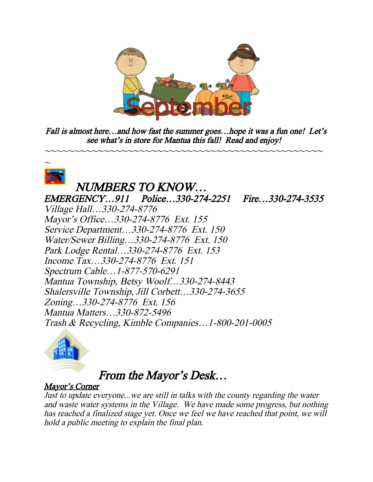

Fall is almost here...and how fast the summer goes...hope it was a fun one! Let's see what's in store for Mantua this fall! Read and enjoy!

~~~~~~~~~~~~~~~~~~~~~~~~~~~~~~~~~~~~~~~~~~~~~~~



### NUMBERS TO KNOW…

EMERGENCY…911 Police…330-274-2251 Fire…330-274-3535 Village Hall…330-274-8776 Mayor's Office…330-274-8776 Ext. 155 Service Department…330-274-8776 Ext. 150 Water/Sewer Billing…330-274-8776 Ext. 150 Park Lodge Rental…330-274-8776 Ext. 153 Income Tax…330-274-8776 Ext. 151 Spectrum Cable…1-877-570-6291 Mantua Township, Betsy Woolf…330-274-8443 Shalersville Township, Jill Corbett…330-274-3655 Zoning…330-274-8776 Ext. 156 Mantua Matters…330-872-5496 Trash & Recycling, Kimble Companies…1-800-201-0005



#### From the Mayor's Desk…

#### Mayor's Corner

Just to update everyone...we are still in talks with the county regarding the water and waste water systems in the Village. We have made some progress, but nothing has reached a finalized stage yet. Once we feel we have reached that point, we will hold a public meeting to explain the final plan.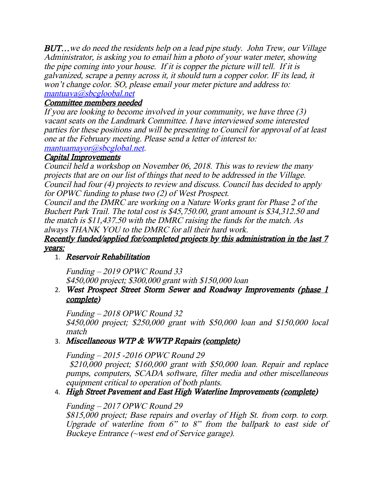**BUT...** we do need the residents help on a lead pipe study. John Trew, our Village Administrator, is asking you to email him a photo of your water meter, showing the pipe coming into your house. If it is copper the picture will tell. If it is galvanized, scrape a penny across it, it should turn a copper color. IF its lead, it won't change color. SO, please email your meter picture and address to: [mantuava@sbcgloobal.net](mailto:mantuava@sbcgloobal.net)

#### Committee members needed

If you are looking to become involved in your community, we have three (3) vacant seats on the Landmark Committee. I have interviewed some interested parties for these positions and will be presenting to Council for approval of at least one at the February meeting. Please send a letter of interest to:

[mantuamayor@sbcglobal.net](mailto:mantuamayor@sbcglobal.net).

#### Capital Improvements

Council held a workshop on November 06, 2018. This was to review the many projects that are on our list of things that need to be addressed in the Village. Council had four (4) projects to review and discuss. Council has decided to apply for OPWC funding to phase two (2) of West Prospect.

Council and the DMRC are working on a Nature Works grant for Phase 2 of the Buchert Park Trail. The total cost is \$45,750.00, grant amount is \$34,312.50 and the match is \$11,437.50 with the DMRC raising the funds for the match. As always THANK YOU to the DMRC for all their hard work.

#### Recently funded/applied for/completed projects by this administration in the last 7 years:

#### 1. Reservoir Rehabilitation

Funding – 2019 OPWC Round 33 \$450,000 project; \$300,000 grant with \$150,000 loan

#### 2. West Prospect Street Storm Sewer and Roadway Improvements (phase 1 complete)

Funding – 2018 OPWC Round 32

\$450,000 project; \$250,000 grant with \$50,000 loan and \$150,000 local match

#### 3. Miscellaneous WTP & WWTP Repairs (complete)

Funding – 2015 -2016 OPWC Round 29 \$210,000 project; \$160,000 grant with \$50,000 loan. Repair and replace pumps, computers, SCADA software, filter media and other miscellaneous

equipment critical to operation of both plants. 4. High Street Pavement and East High Waterline Improvements (complete)

#### Funding – 2017 OPWC Round 29

\$815,000 project; Base repairs and overlay of High St. from corp. to corp. Upgrade of waterline from 6" to 8" from the ballpark to east side of Buckeye Entrance (~west end of Service garage).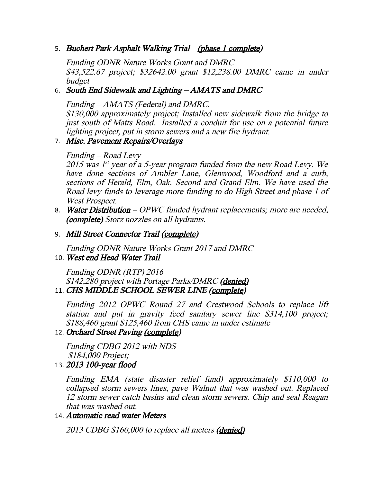5. Buchert Park Asphalt Walking Trial (phase 1 complete)

Funding ODNR Nature Works Grant and DMRC \$43,522.67 project; \$32642.00 grant \$12,238.00 DMRC came in under budget

#### 6. South End Sidewalk and Lighting – AMATS and DMRC

Funding – AMATS (Federal) and DMRC.

\$130,000 approximately project; Installed new sidewalk from the bridge to just south of Matts Road. Installed a conduit for use on a potential future lighting project, put in storm sewers and a new fire hydrant.

#### 7. Misc. Pavement Repairs/Overlays

#### Funding – Road Levy

2015 was 1<sup>st</sup> year of a 5-year program funded from the new Road Levy. We have done sections of Ambler Lane, Glenwood, Woodford and <sup>a</sup> curb, sections of Herald, Elm, Oak, Second and Grand Elm. We have used the Road levy funds to leverage more funding to do High Street and phase 1 of West Prospect.

8. Water Distribution – OPWC funded hydrant replacements; more are needed. (complete) Storz nozzles on all hydrants.

#### 9. Mill Street Connector Trail (complete)

Funding ODNR Nature Works Grant 2017 and DMRC

#### 10. West end Head Water Trail

Funding ODNR (RTP) 2016 \$142,280 project with Portage Parks/DMRC (denied) 11. CHS MIDDLE SCHOOL SEWER LINE (complete)

Funding <sup>2012</sup> OPWC Round <sup>27</sup> and Crestwood Schools to replace lift station and put in gravity feed sanitary sewer line \$314,100 project; \$188,460 grant \$125,460 from CHS came in under estimate

#### 12. Orchard Street Paving (complete)

Funding CDBG 2012 with NDS \$184,000 Project;

13. 2013 100-year flood

Funding EMA (state disaster relief fund) approximately \$110,000 to collapsed storm sewers lines, pave Walnut that was washed out. Replaced 12 storm sewer catch basins and clean storm sewers. Chip and seal Reagan that was washed out.

#### 14. Automatic read water Meters

2013 CDBG \$160,000 to replace all meters (denied)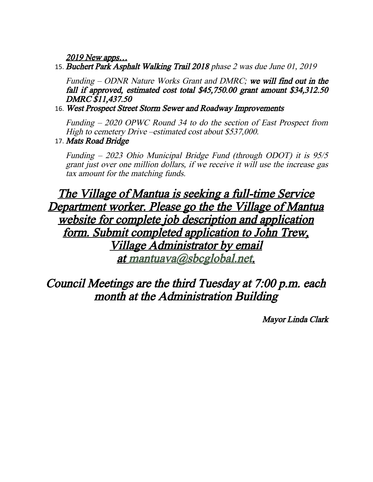2019 New apps…

15. Buchert Park Asphalt Walking Trail 2018 phase 2 was due June 01, 2019

Funding – ODNR Nature Works Grant and DMRC; we will find out in the fall if approved, estimated cost total \$45,750.00 grant amount \$34,312.50 DMRC \$11,437.50

16. West Prospect Street Storm Sewer and Roadway Improvements

Funding – 2020 OPWC Round 34 to do the section of East Prospect from High to cemetery Drive –estimated cost about \$537,000.

17. Mats Road Bridge

Funding – 2023 Ohio Municipal Bridge Fund (through ODOT) it is 95/5 grant just over one million dollars, if we receive it will use the increase gas tax amount for the matching funds.

#### The Village of Mantua is seeking a full-time Service Department worker. Please go the the Village of Mantua website for complete job description and application form. Submit completed application to John Trew, Village Administrator by email at [mantuava@sbcglobal.net](mailto:mantuava@sbcglobal.net).

#### Council Meetings are the third Tuesday at 7:00 p.m. each month at the Administration Building

Mayor Linda Clark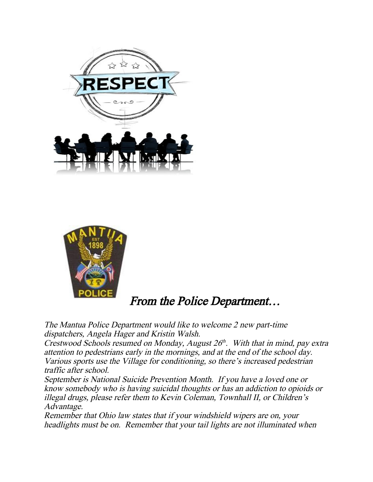



#### From the Police Department…

The Mantua Police Department would like to welcome 2 new part-time dispatchers, Angela Hager and Kristin Walsh.

Crestwood Schools resumed on Monday, August  $26<sup>th</sup>$ . With that in mind, pay extra attention to pedestrians early in the mornings, and at the end of the school day. Various sports use the Village for conditioning, so there's increased pedestrian traffic after school.

September is National Suicide Prevention Month. If you have a loved one or know somebody who is having suicidal thoughts or has an addiction to opioids or illegal drugs, please refer them to Kevin Coleman, Townhall II, or Children's Advantage.

Remember that Ohio law states that if your windshield wipers are on, your headlights must be on. Remember that your tail lights are not illuminated when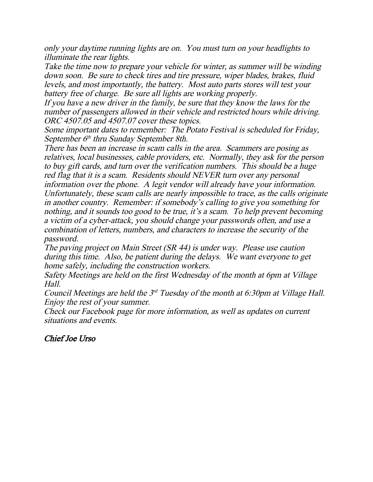only your daytime running lights are on. You must turn on your headlights to illuminate the rear lights.

Take the time now to prepare your vehicle for winter, as summer will be winding down soon. Be sure to check tires and tire pressure, wiper blades, brakes, fluid levels, and most importantly, the battery. Most auto parts stores will test your battery free of charge. Be sure all lights are working properly.

If you have a new driver in the family, be sure that they know the laws for the number of passengers allowed in their vehicle and restricted hours while driving. ORC 4507.05 and 4507.07 cover these topics.

Some important dates to remember: The Potato Festival is scheduled for Friday, September 6<sup>th</sup> thru Sunday September 8th.

There has been an increase in scam calls in the area. Scammers are posing as relatives, local businesses, cable providers, etc. Normally, they ask for the person to buy gift cards, and turn over the verification numbers. This should be a huge red flag that it is a scam. Residents should NEVER turn over any personal information over the phone. A legit vendor will already have your information. Unfortunately, these scam calls are nearly impossible to trace, as the calls originate in another country. Remember: if somebody's calling to give you something for nothing, and it sounds too good to be true, it's a scam. To help prevent becoming a victim of a cyber-attack, you should change your passwords often, and use a combination of letters, numbers, and characters to increase the security of the password.

The paving project on Main Street (SR 44) is under way. Please use caution during this time. Also, be patient during the delays. We want everyone to get home safely, including the construction workers.

Safety Meetings are held on the first Wednesday of the month at 6pm at Village Hall.

Council Meetings are held the  $3^{rd}$  Tuesday of the month at 6:30pm at Village Hall. Enjoy the rest of your summer.

Check our Facebook page for more information, as well as updates on current situations and events.

Chief Joe Urso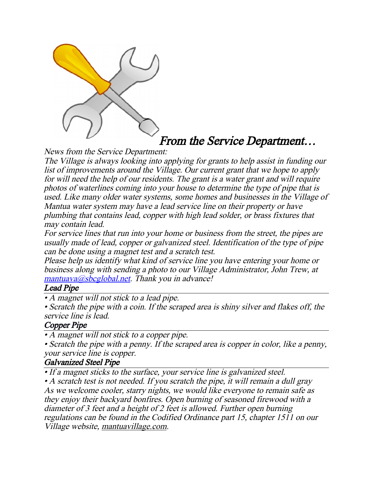

#### From the Service Department…

News from the Service Department:

The Village is always looking into applying for grants to help assist in funding our list of improvements around the Village. Our current grant that we hope to apply for will need the help of our residents. The grant is a water grant and will require photos of waterlines coming into your house to determine the type of pipe that is used. Like many older water systems, some homes and businesses in the Village of Mantua water system may have a lead service line on their property or have plumbing that contains lead, copper with high lead solder, or brass fixtures that may contain lead.

For service lines that run into your home or business from the street, the pipes are usually made of lead, copper or galvanized steel. Identification of the type of pipe can be done using a magnet test and a scratch test.

Please help us identify what kind of service line you have entering your home or business along with sending a photo to our Village Administrator, John Trew, at  $mantuava@sbcglobal.net.$  $mantuava@sbcglobal.net.$  Thank you in advance!

#### Lead Pipe

• A magnet will not stick to a lead pipe.

• Scratch the pipe with a coin. If the scraped area is shiny silver and flakes off, the service line is lead.

#### Copper Pipe

• A magnet will not stick to a copper pipe.

• Scratch the pipe with a penny. If the scraped area is copper in color, like a penny, your service line is copper.

#### Galvanized Steel Pipe

• If a magnet sticks to the surface, your service line is galvanized steel.

• A scratch test is not needed. If you scratch the pipe, it will remain a dull gray As we welcome cooler, starry nights, we would like everyone to remain safe as they enjoy their backyard bonfires. Open burning of seasoned firewood with a diameter of 3 feet and a height of 2 feet is allowed. Further open burning regulations can be found in the Codified Ordinance part 15, chapter 1511 on our Village website, mantuavillage.com.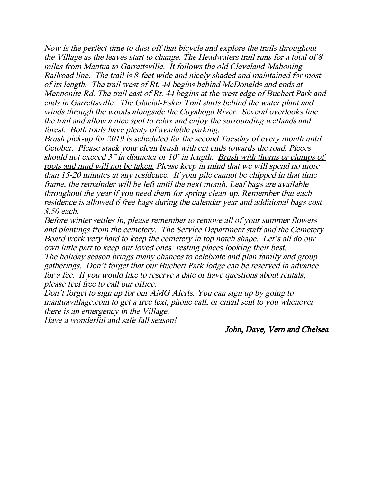Now is the perfect time to dust off that bicycle and explore the trails throughout the Village as the leaves start to change. The Headwaters trail runs for a total of 8 miles from Mantua to Garrettsville. It follows the old Cleveland-Mahoning Railroad line. The trail is 8-feet wide and nicely shaded and maintained for most of its length. The trail west of Rt. 44 begins behind McDonalds and ends at Mennonite Rd. The trail east of Rt. 44 begins at the west edge of Buchert Park and ends in Garrettsville. The Glacial-Esker Trail starts behind the water plant and winds through the woods alongside the Cuyahoga River. Several overlooks line the trail and allow a nice spot to relax and enjoy the surrounding wetlands and forest. Both trails have plenty of available parking.

Brush pick-up for 2019 is scheduled for the second Tuesday of every month until October. Please stack your clean brush with cut ends towards the road. Pieces should not exceed 3" in diameter or 10' in length. Brush with thorns or clumps of roots and mud will not be taken. Please keep in mind that we will spend no more than 15-20 minutes at any residence. If your pile cannot be chipped in that time frame, the remainder will be left until the next month. Leaf bags are available throughout the year if you need them for spring clean-up. Remember that each residence is allowed 6 free bags during the calendar year and additional bags cost \$.50 each.

Before winter settles in, please remember to remove all of your summer flowers and plantings from the cemetery. The Service Department staff and the Cemetery Board work very hard to keep the cemetery in top notch shape. Let's all do our own little part to keep our loved ones' resting places looking their best. The holiday season brings many chances to celebrate and plan family and group gatherings. Don't forget that our Buchert Park lodge can be reserved in advance for a fee. If you would like to reserve a date or have questions about rentals, please feel free to call our office.

Don't forget to sign up for our AMG Alerts. You can sign up by going to mantuavillage.com to get a free text, phone call, or email sent to you whenever there is an emergency in the Village. Have a wonderful and safe fall season!

John, Dave, Vern and Chelsea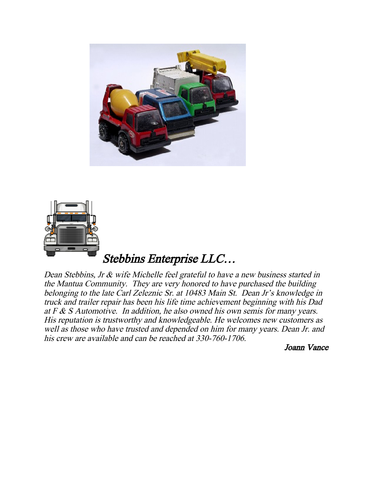



Dean Stebbins, Jr & wife Michelle feel grateful to have a new business started in the Mantua Community. They are very honored to have purchased the building belonging to the late Carl Zeleznic Sr. at 10483 Main St. Dean Jr's knowledge in truck and trailer repair has been his life time achievement beginning with his Dad at  $F & S$  Automotive. In addition, he also owned his own semis for many years. His reputation is trustworthy and knowledgeable. He welcomes new customers as well as those who have trusted and depended on him for many years. Dean Jr. and his crew are available and can be reached at 330-760-1706.

Joann Vance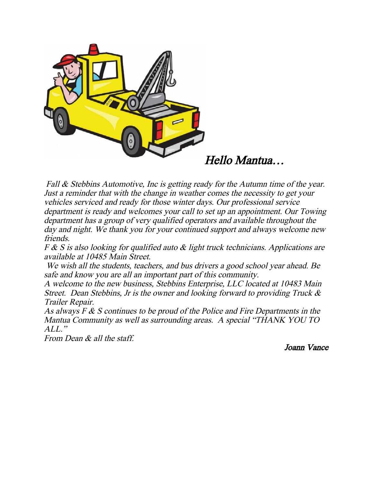

Hello Mantua…

Fall & Stebbins Automotive, Inc is getting ready for the Autumn time of the year. Just a reminder that with the change in weather comes the necessity to get your vehicles serviced and ready for those winter days. Our professional service department is ready and welcomes your call to set up an appointment. Our Towing department has a group of very qualified operators and available throughout the day and night. We thank you for your continued support and always welcome new friends.

F & S is also looking for qualified auto & light truck technicians. Applications are available at 10485 Main Street.

We wish all the students, teachers, and bus drivers a good school year ahead. Be safe and know you are all an important part of this community.

A welcome to the new business, Stebbins Enterprise, LLC located at 10483 Main Street. Dean Stebbins, Jr is the owner and looking forward to providing Truck & Trailer Repair.

As always F & S continues to be proud of the Police and Fire Departments in the Mantua Community as well as surrounding areas. A special "THANK YOU TO  $ALL$ "

From Dean & all the staff.

Joann Vance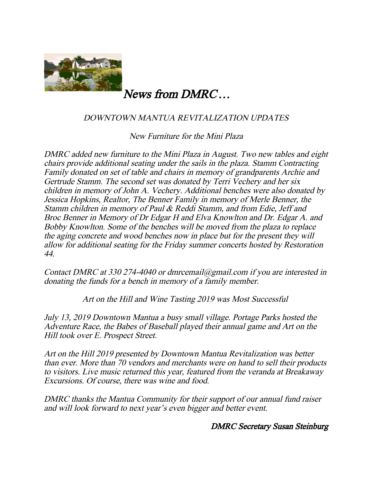

#### News from DMRC…

#### DOWNTOWN MANTUA REVITALIZATION UPDATES

New Furniture for the Mini Plaza

DMRC added new furniture to the Mini Plaza in August. Two new tables and eight chairs provide additional seating under the sails in the plaza. Stamm Contracting Family donated on set of table and chairs in memory of grandparents Archie and Gertrude Stamm. The second set was donated by Terri Vechery and her six children in memory of John A. Vechery. Additional benches were also donated by Jessica Hopkins, Realtor, The Benner Family in memory of Merle Benner, the Stamm children in memory of Paul & Reddi Stamm, and from Edie, Jeff and Broc Benner in Memory of Dr Edgar H and Elva Knowlton and Dr. Edgar A. and Bobby Knowlton. Some of the benches will be moved from the plaza to replace the aging concrete and wood benches now in place but for the present they will allow for additional seating for the Friday summer concerts hosted by Restoration 44.

Contact DMRC at 330 274-4040 or dmrcemail@gmail.com if you are interested in donating the funds for a bench in memory of a family member.

Art on the Hill and Wine Tasting 2019 was Most Successful

July 13, 2019 Downtown Mantua a busy small village. Portage Parks hosted the Adventure Race, the Babes of Baseball played their annual game and Art on the Hill took over E. Prospect Street.

Art on the Hill 2019 presented by Downtown Mantua Revitalization was better than ever. More than 70 vendors and merchants were on hand to sell their products to visitors. Live music returned this year, featured from the veranda at Breakaway Excursions. Of course, there was wine and food.

DMRC thanks the Mantua Community for their support of our annual fund raiser and will look forward to next year's even bigger and better event.

#### DMRC Secretary Susan Steinburg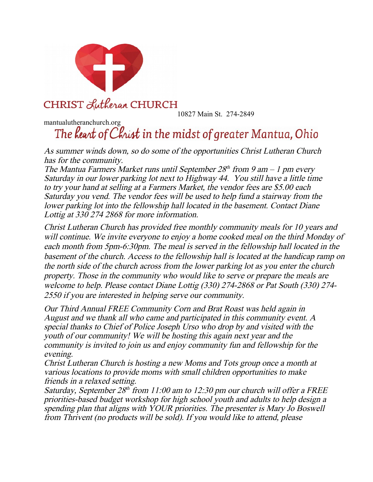

10827 Main St. 274-2849

## mantualutheranchurch.org<br>The **Reart of Christ** in the midst of greater Mantua, Ohio

As summer winds down, so do some of the opportunities Christ Lutheran Church has for the community.

The Mantua Farmers Market runs until September  $28<sup>th</sup>$  from 9 am  $-1$  pm every Saturday in our lower parking lot next to Highway 44. You still have a little time to try your hand at selling at a Farmers Market, the vendor fees are \$5.00 each Saturday you vend. The vendor fees will be used to help fund a stairway from the lower parking lot into the fellowship hall located in the basement. Contact Diane Lottig at 330 274 2868 for more information.

Christ Lutheran Church has provided free monthly community meals for 10 years and will continue. We invite everyone to enjoy a home cooked meal on the third Monday of each month from 5pm-6:30pm. The meal is served in the fellowship hall located in the basement of the church. Access to the fellowship hall is located at the handicap ramp on the north side of the church across from the lower parking lot as you enter the church property. Those in the community who would like to serve or prepare the meals are welcome to help. Please contact Diane Lottig (330) 274-2868 or Pat South (330) 274- 2550 if you are interested in helping serve our community.

Our Third Annual FREE Community Corn and Brat Roast was held again in August and we thank all who came and participated in this community event. A special thanks to Chief of Police Joseph Urso who drop by and visited with the youth of our community! We will be hosting this again next year and the community is invited to join us and enjoy community fun and fellowship for the evening.

Christ Lutheran Church is hosting a new Moms and Tots group once a month at various locations to provide moms with small children opportunities to make friends in a relaxed setting.

Saturday, September 28th from 11:00 am to 12:30 pm our church will offer a FREE priorities-based budget workshop for high school youth and adults to help design a spending plan that aligns with YOUR priorities. The presenter is Mary Jo Boswell from Thrivent (no products will be sold). If you would like to attend, please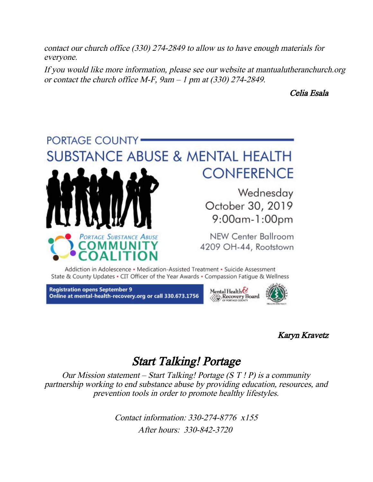contact our church office (330) 274-2849 to allow us to have enough materials for everyone.

If you would like more information, please see our website at mantualutheranchurch.org or contact the church office M-F,  $9am - 1$  pm at (330) 274-2849.

#### Celia Esala



Addiction in Adolescence • Medication-Assisted Treatment • Suicide Assessment State & County Updates • CIT Officer of the Year Awards • Compassion Fatigue & Wellness

**Registration opens September 9** Online at mental-health-recovery.org or call 330.673.1756



#### Karyn Kravetz

#### Start Talking! Portage

Our Mission statement – Start Talking! Portage  $(S T P)$  is a community partnership working to end substance abuse by providing education, resources, and prevention tools in order to promote healthy lifestyles.

> Contact information: 330-274-8776 x155 After hours: 330-842-3720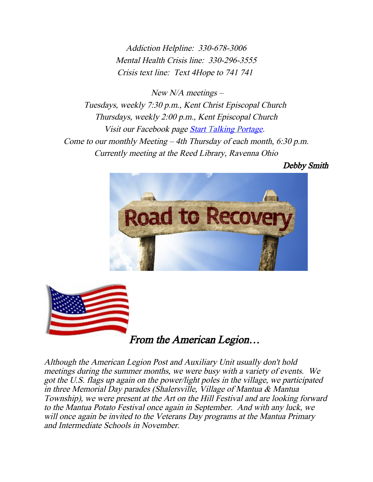Addiction Helpline: 330-678-3006 Mental Health Crisis line: 330-296-3555 Crisis text line: Text 4Hope to 741 741

New  $N/A$  meetings –

Tuesdays, weekly 7:30 p.m., Kent Christ Episcopal Church Thursdays, weekly 2:00 p.m., Kent Episcopal Church Visit our Facebook page Start Talking Portage. Come to our monthly Meeting – 4th Thursday of each month, 6:30 p.m. Currently meeting at the Reed Library, Ravenna Ohio

Debby Smith





From the American Legion…

Although the American Legion Post and Auxiliary Unit usually don't hold meetings during the summer months, we were busy with a variety of events. We got the U.S. flags up again on the power/light poles in the village, we participated in three Memorial Day parades (Shalersville, Village of Mantua & Mantua Township), we were present at the Art on the Hill Festival and are looking forward to the Mantua Potato Festival once again in September. And with any luck, we will once again be invited to the Veterans Day programs at the Mantua Primary and Intermediate Schools in November.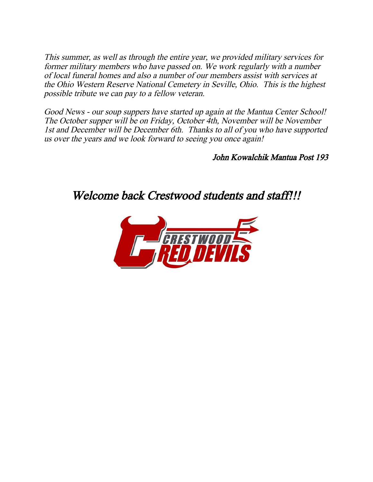This summer, as well as through the entire year, we provided military services for former military members who have passed on. We work regularly with a number of local funeral homes and also a number of our members assist with services at the Ohio Western Reserve National Cemetery in Seville, Ohio. This is the highest possible tribute we can pay to a fellow veteran.

Good News - our soup suppers have started up again at the Mantua Center School! The October supper will be on Friday, October 4th, November will be November 1st and December will be December 6th. Thanks to all of you who have supported us over the years and we look forward to seeing you once again!

John Kowalchik Mantua Post 193

Welcome back Crestwood students and staff!!!

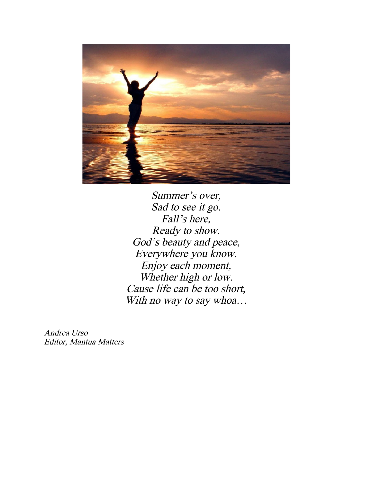

Summer's over, Sad to see it go. Fall's here, Ready to show. God's beauty and peace, Everywhere you know. Enjoy each moment, Whether high or low. Cause life can be too short, With no way to say whoa...

Andrea Urso Editor, Mantua Matters